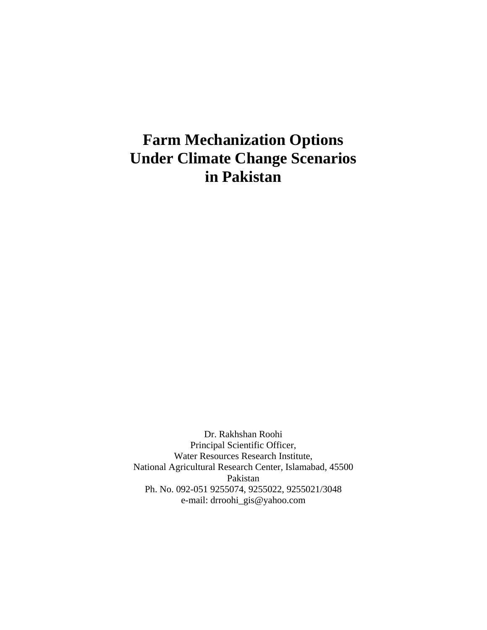# **Farm Mechanization Options Under Climate Change Scenarios in Pakistan**

Dr. Rakhshan Roohi Principal Scientific Officer, Water Resources Research Institute, National Agricultural Research Center, Islamabad, 45500 Pakistan Ph. No. 092-051 9255074, 9255022, 9255021/3048 e-mail: drroohi\_gis@yahoo.com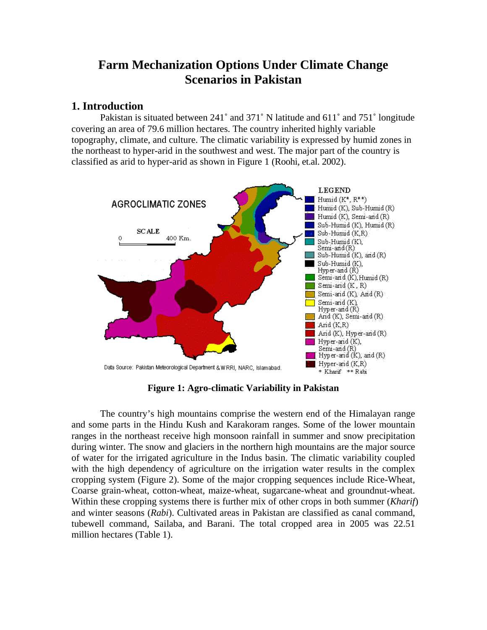## **Farm Mechanization Options Under Climate Change Scenarios in Pakistan**

## **1. Introduction**

Pakistan is situated between 241˚ and 371˚ N latitude and 611˚ and 751˚ longitude covering an area of 79.6 million hectares. The country inherited highly variable topography, climate, and culture. The climatic variability is expressed by humid zones in the northeast to hyper-arid in the southwest and west. The major part of the country is classified as arid to hyper-arid as shown in Figure 1 (Roohi, et.al. 2002).



**Figure 1: Agro-climatic Variability in Pakistan** 

The country's high mountains comprise the western end of the Himalayan range and some parts in the Hindu Kush and Karakoram ranges. Some of the lower mountain ranges in the northeast receive high monsoon rainfall in summer and snow precipitation during winter. The snow and glaciers in the northern high mountains are the major source of water for the irrigated agriculture in the Indus basin. The climatic variability coupled with the high dependency of agriculture on the irrigation water results in the complex cropping system (Figure 2). Some of the major cropping sequences include Rice-Wheat, Coarse grain-wheat, cotton-wheat, maize-wheat, sugarcane-wheat and groundnut-wheat. Within these cropping systems there is further mix of other crops in both summer (*Kharif*) and winter seasons (*Rabi*). Cultivated areas in Pakistan are classified as canal command, tubewell command, Sailaba, and Barani. The total cropped area in 2005 was 22.51 million hectares (Table 1).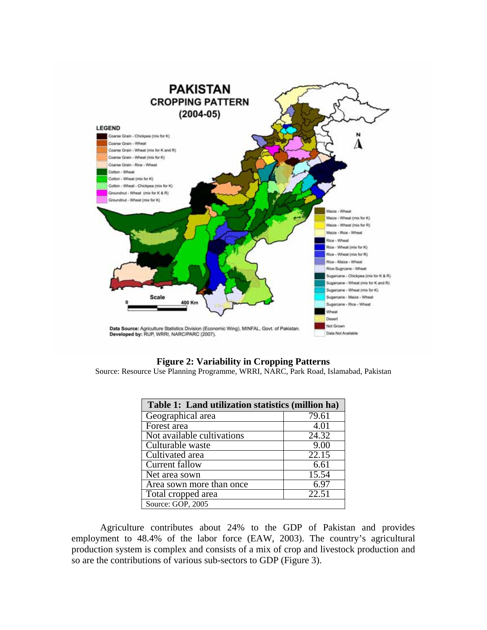

#### **Figure 2: Variability in Cropping Patterns**

Source: Resource Use Planning Programme, WRRI, NARC, Park Road, Islamabad, Pakistan

| Table 1: Land utilization statistics (million ha) |       |  |  |  |
|---------------------------------------------------|-------|--|--|--|
| Geographical area                                 | 79.61 |  |  |  |
| Forest area                                       | 4.01  |  |  |  |
| Not available cultivations                        | 24.32 |  |  |  |
| Culturable waste                                  | 9.00  |  |  |  |
| Cultivated area                                   | 22.15 |  |  |  |
| <b>Current fallow</b>                             | 6.61  |  |  |  |
| Net area sown                                     | 15.54 |  |  |  |
| Area sown more than once                          | 6.97  |  |  |  |
| Total cropped area                                | 22.51 |  |  |  |
| Source: GOP, 2005                                 |       |  |  |  |

Agriculture contributes about 24% to the GDP of Pakistan and provides employment to 48.4% of the labor force (EAW, 2003). The country's agricultural production system is complex and consists of a mix of crop and livestock production and so are the contributions of various sub-sectors to GDP (Figure 3).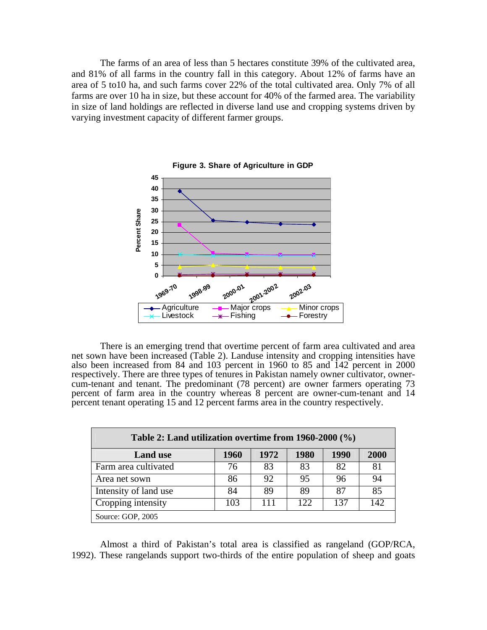The farms of an area of less than 5 hectares constitute 39% of the cultivated area, and 81% of all farms in the country fall in this category. About 12% of farms have an area of 5 to10 ha, and such farms cover 22% of the total cultivated area. Only 7% of all farms are over 10 ha in size, but these account for 40% of the farmed area. The variability in size of land holdings are reflected in diverse land use and cropping systems driven by varying investment capacity of different farmer groups.



**Figure 3. Share of Agriculture in GDP**

There is an emerging trend that overtime percent of farm area cultivated and area net sown have been increased (Table 2). Landuse intensity and cropping intensities have also been increased from 84 and 103 percent in 1960 to 85 and  $142$  percent in 2000 respectively. There are three types of tenures in Pakistan namely owner cultivator, ownercum-tenant and tenant. The predominant (78 percent) are owner farmers operating 73 percent of farm area in the country whereas 8 percent are owner-cum-tenant and 14 percent tenant operating 15 and 12 percent farms area in the country respectively.

| Table 2: Land utilization overtime from $1960-2000$ (%) |      |      |      |      |      |
|---------------------------------------------------------|------|------|------|------|------|
| <b>Land use</b>                                         | 1960 | 1972 | 1980 | 1990 | 2000 |
| Farm area cultivated                                    | 76   | 83   | 83   | 82   | 81   |
| Area net sown                                           | 86   | 92   | 95   | 96   | 94   |
| Intensity of land use                                   | 84   | 89   | 89   | 87   | 85   |
| Cropping intensity                                      | 103  | 111  | 122  | 137  | 142  |
| Source: GOP, 2005                                       |      |      |      |      |      |

Almost a third of Pakistan's total area is classified as rangeland (GOP/RCA, 1992). These rangelands support two-thirds of the entire population of sheep and goats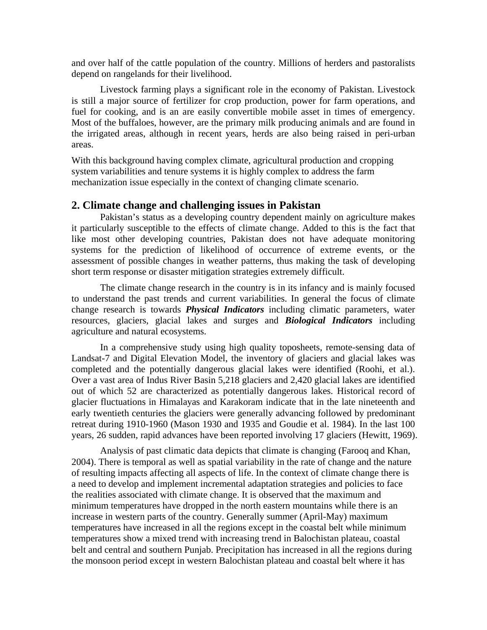and over half of the cattle population of the country. Millions of herders and pastoralists depend on rangelands for their livelihood.

 Livestock farming plays a significant role in the economy of Pakistan. Livestock is still a major source of fertilizer for crop production, power for farm operations, and fuel for cooking, and is an are easily convertible mobile asset in times of emergency. Most of the buffaloes, however, are the primary milk producing animals and are found in the irrigated areas, although in recent years, herds are also being raised in peri-urban areas.

With this background having complex climate, agricultural production and cropping system variabilities and tenure systems it is highly complex to address the farm mechanization issue especially in the context of changing climate scenario.

#### **2. Climate change and challenging issues in Pakistan**

 Pakistan's status as a developing country dependent mainly on agriculture makes it particularly susceptible to the effects of climate change. Added to this is the fact that like most other developing countries, Pakistan does not have adequate monitoring systems for the prediction of likelihood of occurrence of extreme events, or the assessment of possible changes in weather patterns, thus making the task of developing short term response or disaster mitigation strategies extremely difficult.

 The climate change research in the country is in its infancy and is mainly focused to understand the past trends and current variabilities. In general the focus of climate change research is towards *Physical Indicators* including climatic parameters, water resources, glaciers, glacial lakes and surges and *Biological Indicators* including agriculture and natural ecosystems.

In a comprehensive study using high quality toposheets, remote-sensing data of Landsat-7 and Digital Elevation Model, the inventory of glaciers and glacial lakes was completed and the potentially dangerous glacial lakes were identified (Roohi, et al.). Over a vast area of Indus River Basin 5,218 glaciers and 2,420 glacial lakes are identified out of which 52 are characterized as potentially dangerous lakes. Historical record of glacier fluctuations in Himalayas and Karakoram indicate that in the late nineteenth and early twentieth centuries the glaciers were generally advancing followed by predominant retreat during 1910-1960 (Mason 1930 and 1935 and Goudie et al. 1984). In the last 100 years, 26 sudden, rapid advances have been reported involving 17 glaciers (Hewitt, 1969).

 Analysis of past climatic data depicts that climate is changing (Farooq and Khan, 2004). There is temporal as well as spatial variability in the rate of change and the nature of resulting impacts affecting all aspects of life. In the context of climate change there is a need to develop and implement incremental adaptation strategies and policies to face the realities associated with climate change. It is observed that the maximum and minimum temperatures have dropped in the north eastern mountains while there is an increase in western parts of the country. Generally summer (April-May) maximum temperatures have increased in all the regions except in the coastal belt while minimum temperatures show a mixed trend with increasing trend in Balochistan plateau, coastal belt and central and southern Punjab. Precipitation has increased in all the regions during the monsoon period except in western Balochistan plateau and coastal belt where it has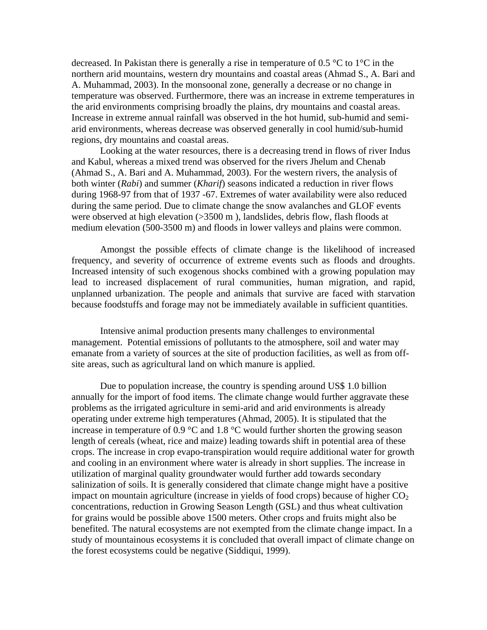decreased. In Pakistan there is generally a rise in temperature of 0.5  $\degree$ C to 1 $\degree$ C in the northern arid mountains, western dry mountains and coastal areas (Ahmad S., A. Bari and A. Muhammad, 2003). In the monsoonal zone, generally a decrease or no change in temperature was observed. Furthermore, there was an increase in extreme temperatures in the arid environments comprising broadly the plains, dry mountains and coastal areas. Increase in extreme annual rainfall was observed in the hot humid, sub-humid and semiarid environments, whereas decrease was observed generally in cool humid/sub-humid regions, dry mountains and coastal areas.

 Looking at the water resources, there is a decreasing trend in flows of river Indus and Kabul, whereas a mixed trend was observed for the rivers Jhelum and Chenab (Ahmad S., A. Bari and A. Muhammad, 2003). For the western rivers, the analysis of both winter (*Rabi*) and summer (*Kharif*) seasons indicated a reduction in river flows during 1968-97 from that of 1937 -67. Extremes of water availability were also reduced during the same period. Due to climate change the snow avalanches and GLOF events were observed at high elevation (>3500 m), landslides, debris flow, flash floods at medium elevation (500-3500 m) and floods in lower valleys and plains were common.

 Amongst the possible effects of climate change is the likelihood of increased frequency, and severity of occurrence of extreme events such as floods and droughts. Increased intensity of such exogenous shocks combined with a growing population may lead to increased displacement of rural communities, human migration, and rapid, unplanned urbanization. The people and animals that survive are faced with starvation because foodstuffs and forage may not be immediately available in sufficient quantities.

 Intensive animal production presents many challenges to environmental management. Potential emissions of pollutants to the atmosphere, soil and water may emanate from a variety of sources at the site of production facilities, as well as from offsite areas, such as agricultural land on which manure is applied.

 Due to population increase, the country is spending around US\$ 1.0 billion annually for the import of food items. The climate change would further aggravate these problems as the irrigated agriculture in semi-arid and arid environments is already operating under extreme high temperatures (Ahmad, 2005). It is stipulated that the increase in temperature of 0.9 °C and 1.8 °C would further shorten the growing season length of cereals (wheat, rice and maize) leading towards shift in potential area of these crops. The increase in crop evapo-transpiration would require additional water for growth and cooling in an environment where water is already in short supplies. The increase in utilization of marginal quality groundwater would further add towards secondary salinization of soils. It is generally considered that climate change might have a positive impact on mountain agriculture (increase in yields of food crops) because of higher  $CO<sub>2</sub>$ concentrations, reduction in Growing Season Length (GSL) and thus wheat cultivation for grains would be possible above 1500 meters. Other crops and fruits might also be benefited. The natural ecosystems are not exempted from the climate change impact. In a study of mountainous ecosystems it is concluded that overall impact of climate change on the forest ecosystems could be negative (Siddiqui, 1999).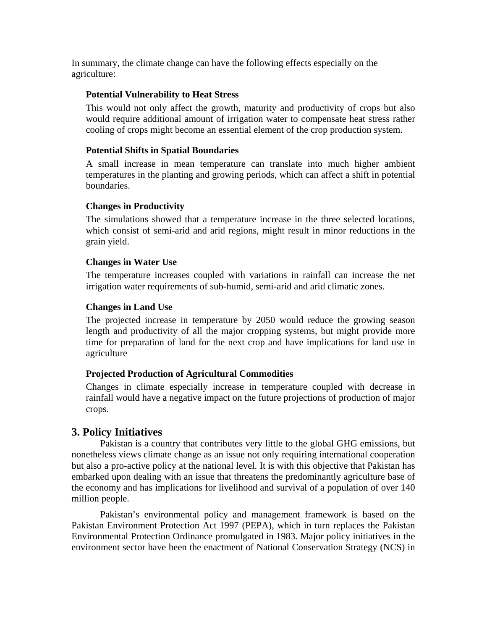In summary, the climate change can have the following effects especially on the agriculture:

#### **Potential Vulnerability to Heat Stress**

This would not only affect the growth, maturity and productivity of crops but also would require additional amount of irrigation water to compensate heat stress rather cooling of crops might become an essential element of the crop production system.

#### **Potential Shifts in Spatial Boundaries**

A small increase in mean temperature can translate into much higher ambient temperatures in the planting and growing periods, which can affect a shift in potential boundaries.

## **Changes in Productivity**

The simulations showed that a temperature increase in the three selected locations, which consist of semi-arid and arid regions, might result in minor reductions in the grain yield.

#### **Changes in Water Use**

The temperature increases coupled with variations in rainfall can increase the net irrigation water requirements of sub-humid, semi-arid and arid climatic zones.

## **Changes in Land Use**

The projected increase in temperature by 2050 would reduce the growing season length and productivity of all the major cropping systems, but might provide more time for preparation of land for the next crop and have implications for land use in agriculture

## **Projected Production of Agricultural Commodities**

Changes in climate especially increase in temperature coupled with decrease in rainfall would have a negative impact on the future projections of production of major crops.

## **3. Policy Initiatives**

 Pakistan is a country that contributes very little to the global GHG emissions, but nonetheless views climate change as an issue not only requiring international cooperation but also a pro-active policy at the national level. It is with this objective that Pakistan has embarked upon dealing with an issue that threatens the predominantly agriculture base of the economy and has implications for livelihood and survival of a population of over 140 million people.

 Pakistan's environmental policy and management framework is based on the Pakistan Environment Protection Act 1997 (PEPA), which in turn replaces the Pakistan Environmental Protection Ordinance promulgated in 1983. Major policy initiatives in the environment sector have been the enactment of National Conservation Strategy (NCS) in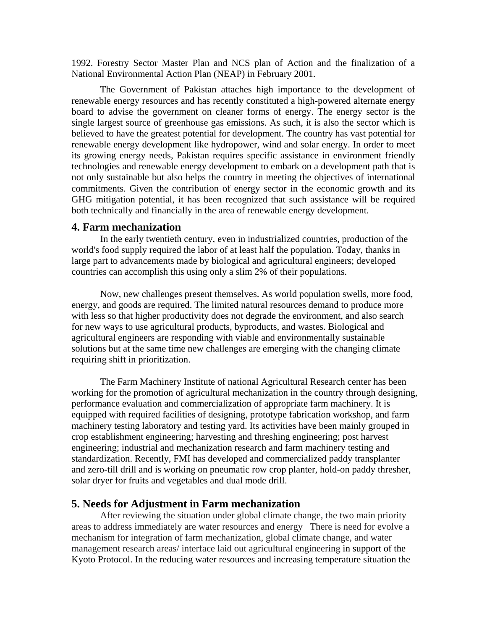1992. Forestry Sector Master Plan and NCS plan of Action and the finalization of a National Environmental Action Plan (NEAP) in February 2001.

 The Government of Pakistan attaches high importance to the development of renewable energy resources and has recently constituted a high-powered alternate energy board to advise the government on cleaner forms of energy. The energy sector is the single largest source of greenhouse gas emissions. As such, it is also the sector which is believed to have the greatest potential for development. The country has vast potential for renewable energy development like hydropower, wind and solar energy. In order to meet its growing energy needs, Pakistan requires specific assistance in environment friendly technologies and renewable energy development to embark on a development path that is not only sustainable but also helps the country in meeting the objectives of international commitments. Given the contribution of energy sector in the economic growth and its GHG mitigation potential, it has been recognized that such assistance will be required both technically and financially in the area of renewable energy development.

#### **4. Farm mechanization**

 In the early twentieth century, even in industrialized countries, production of the world's food supply required the labor of at least half the population. Today, thanks in large part to advancements made by biological and agricultural engineers; developed countries can accomplish this using only a slim 2% of their populations.

 Now, new challenges present themselves. As world population swells, more food, energy, and goods are required. The limited natural resources demand to produce more with less so that higher productivity does not degrade the environment, and also search for new ways to use agricultural products, byproducts, and wastes. Biological and agricultural engineers are responding with viable and environmentally sustainable solutions but at the same time new challenges are emerging with the changing climate requiring shift in prioritization.

 The Farm Machinery Institute of national Agricultural Research center has been working for the promotion of agricultural mechanization in the country through designing, performance evaluation and commercialization of appropriate farm machinery. It is equipped with required facilities of designing, prototype fabrication workshop, and farm machinery testing laboratory and testing yard. Its activities have been mainly grouped in crop establishment engineering; harvesting and threshing engineering; post harvest engineering; industrial and mechanization research and farm machinery testing and standardization. Recently, FMI has developed and commercialized paddy transplanter and zero-till drill and is working on pneumatic row crop planter, hold-on paddy thresher, solar dryer for fruits and vegetables and dual mode drill.

#### **5. Needs for Adjustment in Farm mechanization**

 After reviewing the situation under global climate change, the two main priority areas to address immediately are water resources and energy There is need for evolve a mechanism for integration of farm mechanization, global climate change, and water management research areas/ interface laid out agricultural engineering in support of the Kyoto Protocol. In the reducing water resources and increasing temperature situation the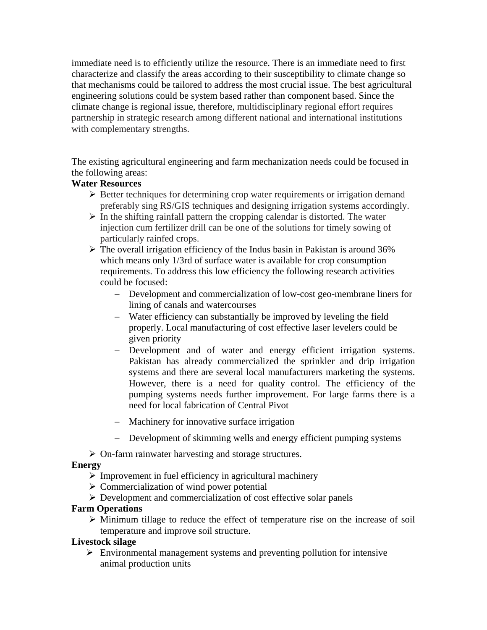immediate need is to efficiently utilize the resource. There is an immediate need to first characterize and classify the areas according to their susceptibility to climate change so that mechanisms could be tailored to address the most crucial issue. The best agricultural engineering solutions could be system based rather than component based. Since the climate change is regional issue, therefore, multidisciplinary regional effort requires partnership in strategic research among different national and international institutions with complementary strengths.

The existing agricultural engineering and farm mechanization needs could be focused in the following areas:

## **Water Resources**

- $\triangleright$  Better techniques for determining crop water requirements or irrigation demand preferably sing RS/GIS techniques and designing irrigation systems accordingly.
- $\triangleright$  In the shifting rainfall pattern the cropping calendar is distorted. The water injection cum fertilizer drill can be one of the solutions for timely sowing of particularly rainfed crops.
- $\triangleright$  The overall irrigation efficiency of the Indus basin in Pakistan is around 36% which means only 1/3rd of surface water is available for crop consumption requirements. To address this low efficiency the following research activities could be focused:
	- − Development and commercialization of low-cost geo-membrane liners for lining of canals and watercourses
	- − Water efficiency can substantially be improved by leveling the field properly. Local manufacturing of cost effective laser levelers could be given priority
	- − Development and of water and energy efficient irrigation systems. Pakistan has already commercialized the sprinkler and drip irrigation systems and there are several local manufacturers marketing the systems. However, there is a need for quality control. The efficiency of the pumping systems needs further improvement. For large farms there is a need for local fabrication of Central Pivot
	- − Machinery for innovative surface irrigation
	- − Development of skimming wells and energy efficient pumping systems
- $\triangleright$  On-farm rainwater harvesting and storage structures.

## **Energy**

- $\triangleright$  Improvement in fuel efficiency in agricultural machinery
- $\triangleright$  Commercialization of wind power potential
- $\triangleright$  Development and commercialization of cost effective solar panels

## **Farm Operations**

 $\triangleright$  Minimum tillage to reduce the effect of temperature rise on the increase of soil temperature and improve soil structure.

## **Livestock silage**

 $\triangleright$  Environmental management systems and preventing pollution for intensive animal production units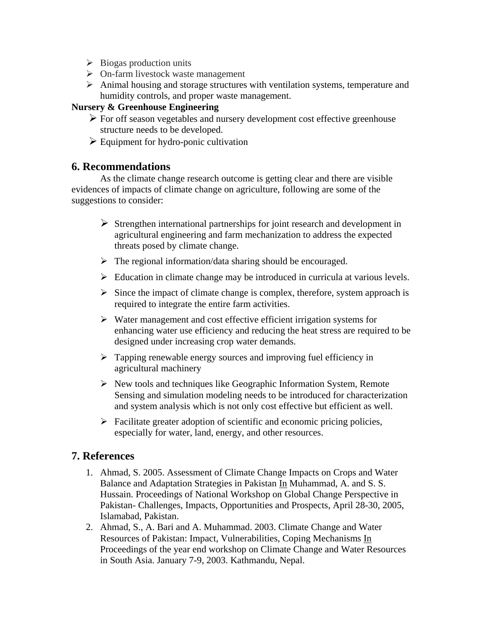- $\triangleright$  Biogas production units
- $\triangleright$  On-farm livestock waste management
- $\triangleright$  Animal housing and storage structures with ventilation systems, temperature and humidity controls, and proper waste management.

## **Nursery & Greenhouse Engineering**

- $\triangleright$  For off season vegetables and nursery development cost effective greenhouse structure needs to be developed.
- $\triangleright$  Equipment for hydro-ponic cultivation

## **6. Recommendations**

 As the climate change research outcome is getting clear and there are visible evidences of impacts of climate change on agriculture, following are some of the suggestions to consider:

- $\triangleright$  Strengthen international partnerships for joint research and development in agricultural engineering and farm mechanization to address the expected threats posed by climate change.
- $\triangleright$  The regional information/data sharing should be encouraged.
- $\triangleright$  Education in climate change may be introduced in curricula at various levels.
- $\triangleright$  Since the impact of climate change is complex, therefore, system approach is required to integrate the entire farm activities.
- $\triangleright$  Water management and cost effective efficient irrigation systems for enhancing water use efficiency and reducing the heat stress are required to be designed under increasing crop water demands.
- $\triangleright$  Tapping renewable energy sources and improving fuel efficiency in agricultural machinery
- $\triangleright$  New tools and techniques like Geographic Information System, Remote Sensing and simulation modeling needs to be introduced for characterization and system analysis which is not only cost effective but efficient as well.
- $\triangleright$  Facilitate greater adoption of scientific and economic pricing policies, especially for water, land, energy, and other resources.

## **7. References**

- 1. Ahmad, S. 2005. Assessment of Climate Change Impacts on Crops and Water Balance and Adaptation Strategies in Pakistan In Muhammad, A. and S. S. Hussain. Proceedings of National Workshop on Global Change Perspective in Pakistan- Challenges, Impacts, Opportunities and Prospects, April 28-30, 2005, Islamabad, Pakistan.
- 2. Ahmad, S., A. Bari and A. Muhammad. 2003. Climate Change and Water Resources of Pakistan: Impact, Vulnerabilities, Coping Mechanisms In Proceedings of the year end workshop on Climate Change and Water Resources in South Asia. January 7-9, 2003. Kathmandu, Nepal.